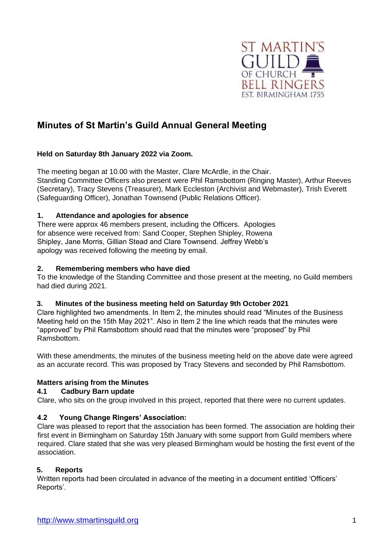

# **Minutes of St Martin's Guild Annual General Meeting**

## **Held on Saturday 8th January 2022 via Zoom.**

The meeting began at 10.00 with the Master, Clare McArdle, in the Chair. Standing Committee Officers also present were Phil Ramsbottom (Ringing Master), Arthur Reeves (Secretary), Tracy Stevens (Treasurer), Mark Eccleston (Archivist and Webmaster), Trish Everett (Safeguarding Officer), Jonathan Townsend (Public Relations Officer).

## **1. Attendance and apologies for absence**

There were approx 46 members present, including the Officers. Apologies for absence were received from: Sand Cooper, Stephen Shipley, Rowena Shipley, Jane Morris, Gillian Stead and Clare Townsend. Jeffrey Webb's apology was received following the meeting by email.

## **2. Remembering members who have died**

To the knowledge of the Standing Committee and those present at the meeting, no Guild members had died during 2021.

## **3. Minutes of the business meeting held on Saturday 9th October 2021**

Clare highlighted two amendments. In Item 2, the minutes should read "Minutes of the Business Meeting held on the 15th May 2021". Also in Item 2 the line which reads that the minutes were "approved" by Phil Ramsbottom should read that the minutes were "proposed" by Phil Ramsbottom.

With these amendments, the minutes of the business meeting held on the above date were agreed as an accurate record. This was proposed by Tracy Stevens and seconded by Phil Ramsbottom.

## **4. Matters arising from the Minutes**

### **4.1 Cadbury Barn update**

Clare, who sits on the group involved in this project, reported that there were no current updates.

### **4.2 Young Change Ringers' Association:**

Clare was pleased to report that the association has been formed. The association are holding their first event in Birmingham on Saturday 15th January with some support from Guild members where required. Clare stated that she was very pleased Birmingham would be hosting the first event of the association.

### **5. Reports**

Written reports had been circulated in advance of the meeting in a document entitled 'Officers' Reports'.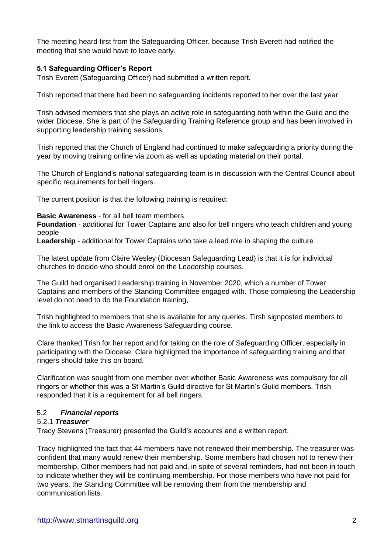The meeting heard first from the Safeguarding Officer, because Trish Everett had notified the meeting that she would have to leave early.

## **5.1 Safeguarding Officer's Report**

Trish Everett (Safeguarding Officer) had submitted a written report.

Trish reported that there had been no safeguarding incidents reported to her over the last year.

Trish advised members that she plays an active role in safeguarding both within the Guild and the wider Diocese. She is part of the Safeguarding Training Reference group and has been involved in supporting leadership training sessions.

Trish reported that the Church of England had continued to make safeguarding a priority during the year by moving training online via zoom as well as updating material on their portal.

The Church of England's national safeguarding team is in discussion with the Central Council about specific requirements for bell ringers.

The current position is that the following training is required:

## **Basic Awareness** - for all bell team members

**Foundation** - additional for Tower Captains and also for bell ringers who teach children and young people

**Leadership** - additional for Tower Captains who take a lead role in shaping the culture

The latest update from Claire Wesley (Diocesan Safeguarding Lead) is that it is for individual churches to decide who should enrol on the Leadership courses.

The Guild had organised Leadership training in November 2020, which a number of Tower Captains and members of the Standing Committee engaged with. Those completing the Leadership level do not need to do the Foundation training,

Trish highlighted to members that she is available for any queries. Tirsh signposted members to the link to access the Basic Awareness Safeguarding course.

Clare thanked Trish for her report and for taking on the role of Safeguarding Officer, especially in participating with the Diocese. Clare highlighted the importance of safeguarding training and that ringers should take this on board.

Clarification was sought from one member over whether Basic Awareness was compulsory for all ringers or whether this was a St Martin's Guild directive for St Martin's Guild members. Trish responded that it is a requirement for all bell ringers.

## 5.2 *Financial reports*

## 5.2.1 *Treasurer*

Tracy Stevens (Treasurer) presented the Guild's accounts and a written report.

Tracy highlighted the fact that 44 members have not renewed their membership. The treasurer was confident that many would renew their membership. Some members had chosen not to renew their membership. Other members had not paid and, in spite of several reminders, had not been in touch to indicate whether they will be continuing membership. For those members who have not paid for two years, the Standing Committee will be removing them from the membership and communication lists.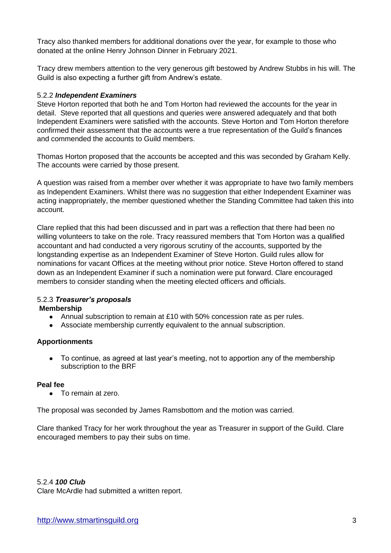Tracy also thanked members for additional donations over the year, for example to those who donated at the online Henry Johnson Dinner in February 2021.

Tracy drew members attention to the very generous gift bestowed by Andrew Stubbs in his will. The Guild is also expecting a further gift from Andrew's estate.

### 5.2.2 *Independent Examiners*

Steve Horton reported that both he and Tom Horton had reviewed the accounts for the year in detail. Steve reported that all questions and queries were answered adequately and that both Independent Examiners were satisfied with the accounts. Steve Horton and Tom Horton therefore confirmed their assessment that the accounts were a true representation of the Guild's finances and commended the accounts to Guild members.

Thomas Horton proposed that the accounts be accepted and this was seconded by Graham Kelly. The accounts were carried by those present.

A question was raised from a member over whether it was appropriate to have two family members as Independent Examiners. Whilst there was no suggestion that either Independent Examiner was acting inappropriately, the member questioned whether the Standing Committee had taken this into account.

Clare replied that this had been discussed and in part was a reflection that there had been no willing volunteers to take on the role. Tracy reassured members that Tom Horton was a qualified accountant and had conducted a very rigorous scrutiny of the accounts, supported by the longstanding expertise as an Independent Examiner of Steve Horton. Guild rules allow for nominations for vacant Offices at the meeting without prior notice. Steve Horton offered to stand down as an Independent Examiner if such a nomination were put forward. Clare encouraged members to consider standing when the meeting elected officers and officials.

### 5.2.3 *Treasurer's proposals*

### **Membership**

- Annual subscription to remain at £10 with 50% concession rate as per rules.
- Associate membership currently equivalent to the annual subscription.

## **Apportionments**

• To continue, as agreed at last year's meeting, not to apportion any of the membership subscription to the BRF

### **Peal fee**

● To remain at zero.

The proposal was seconded by James Ramsbottom and the motion was carried.

Clare thanked Tracy for her work throughout the year as Treasurer in support of the Guild. Clare encouraged members to pay their subs on time.

5.2.4 *100 Club*  Clare McArdle had submitted a written report.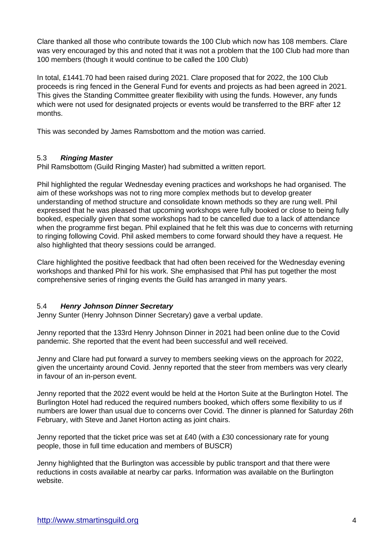Clare thanked all those who contribute towards the 100 Club which now has 108 members. Clare was very encouraged by this and noted that it was not a problem that the 100 Club had more than 100 members (though it would continue to be called the 100 Club)

In total, £1441.70 had been raised during 2021. Clare proposed that for 2022, the 100 Club proceeds is ring fenced in the General Fund for events and projects as had been agreed in 2021. This gives the Standing Committee greater flexibility with using the funds. However, any funds which were not used for designated projects or events would be transferred to the BRF after 12 months.

This was seconded by James Ramsbottom and the motion was carried.

## 5.3 *Ringing Master*

Phil Ramsbottom (Guild Ringing Master) had submitted a written report.

Phil highlighted the regular Wednesday evening practices and workshops he had organised. The aim of these workshops was not to ring more complex methods but to develop greater understanding of method structure and consolidate known methods so they are rung well. Phil expressed that he was pleased that upcoming workshops were fully booked or close to being fully booked, especially given that some workshops had to be cancelled due to a lack of attendance when the programme first began. Phil explained that he felt this was due to concerns with returning to ringing following Covid. Phil asked members to come forward should they have a request. He also highlighted that theory sessions could be arranged.

Clare highlighted the positive feedback that had often been received for the Wednesday evening workshops and thanked Phil for his work. She emphasised that Phil has put together the most comprehensive series of ringing events the Guild has arranged in many years.

## 5.4 *Henry Johnson Dinner Secretary*

Jenny Sunter (Henry Johnson Dinner Secretary) gave a verbal update.

Jenny reported that the 133rd Henry Johnson Dinner in 2021 had been online due to the Covid pandemic. She reported that the event had been successful and well received.

Jenny and Clare had put forward a survey to members seeking views on the approach for 2022, given the uncertainty around Covid. Jenny reported that the steer from members was very clearly in favour of an in-person event.

Jenny reported that the 2022 event would be held at the Horton Suite at the Burlington Hotel. The Burlington Hotel had reduced the required numbers booked, which offers some flexibility to us if numbers are lower than usual due to concerns over Covid. The dinner is planned for Saturday 26th February, with Steve and Janet Horton acting as joint chairs.

Jenny reported that the ticket price was set at £40 (with a £30 concessionary rate for young people, those in full time education and members of BUSCR)

Jenny highlighted that the Burlington was accessible by public transport and that there were reductions in costs available at nearby car parks. Information was available on the Burlington website.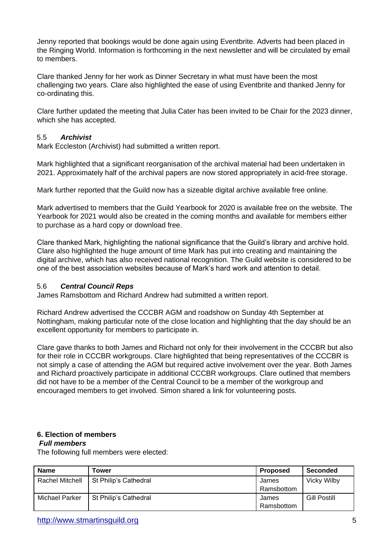Jenny reported that bookings would be done again using Eventbrite. Adverts had been placed in the Ringing World. Information is forthcoming in the next newsletter and will be circulated by email to members.

Clare thanked Jenny for her work as Dinner Secretary in what must have been the most challenging two years. Clare also highlighted the ease of using Eventbrite and thanked Jenny for co-ordinating this.

Clare further updated the meeting that Julia Cater has been invited to be Chair for the 2023 dinner, which she has accepted.

## 5.5 *Archivist*

Mark Eccleston (Archivist) had submitted a written report.

Mark highlighted that a significant reorganisation of the archival material had been undertaken in 2021. Approximately half of the archival papers are now stored appropriately in acid-free storage.

Mark further reported that the Guild now has a sizeable digital archive available free online.

Mark advertised to members that the Guild Yearbook for 2020 is available free on the website. The Yearbook for 2021 would also be created in the coming months and available for members either to purchase as a hard copy or download free.

Clare thanked Mark, highlighting the national significance that the Guild's library and archive hold. Clare also highlighted the huge amount of time Mark has put into creating and maintaining the digital archive, which has also received national recognition. The Guild website is considered to be one of the best association websites because of Mark's hard work and attention to detail.

### 5.6 *Central Council Reps*

James Ramsbottom and Richard Andrew had submitted a written report.

Richard Andrew advertised the CCCBR AGM and roadshow on Sunday 4th September at Nottingham, making particular note of the close location and highlighting that the day should be an excellent opportunity for members to participate in.

Clare gave thanks to both James and Richard not only for their involvement in the CCCBR but also for their role in CCCBR workgroups. Clare highlighted that being representatives of the CCCBR is not simply a case of attending the AGM but required active involvement over the year. Both James and Richard proactively participate in additional CCCBR workgroups. Clare outlined that members did not have to be a member of the Central Council to be a member of the workgroup and encouraged members to get involved. Simon shared a link for volunteering posts.

## **6. 6. Election of members**

## **7.** *Full members*

The following full members were elected:

| <b>Name</b>     | Tower                 | <b>Proposed</b> | Seconded            |
|-----------------|-----------------------|-----------------|---------------------|
| Rachel Mitchell | St Philip's Cathedral | James           | <b>Vicky Wilby</b>  |
|                 |                       | Ramsbottom      |                     |
| Michael Parker  | St Philip's Cathedral | James           | <b>Gill Postill</b> |
|                 |                       | Ramsbottom      |                     |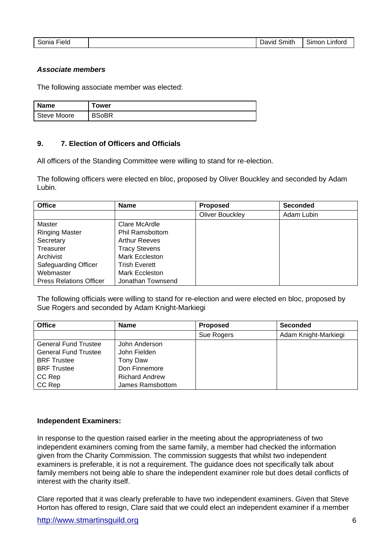| Sonia<br>Linford<br>Field<br>Smith<br>⊃avıd '<br>Simon i |
|----------------------------------------------------------|
|----------------------------------------------------------|

#### **8.** *Associate members*

The following associate member was elected:

| <b>Name</b>        | Tower        |
|--------------------|--------------|
| <b>Steve Moore</b> | <b>BSoBR</b> |

### **9. 7. Election of Officers and Officials**

All officers of the Standing Committee were willing to stand for re-election.

The following officers were elected en bloc, proposed by Oliver Bouckley and seconded by Adam Lubin.

| <b>Office</b>                  | <b>Name</b>            | <b>Proposed</b>        | <b>Seconded</b> |
|--------------------------------|------------------------|------------------------|-----------------|
|                                |                        | <b>Oliver Bouckley</b> | Adam Lubin      |
| Master                         | Clare McArdle          |                        |                 |
| <b>Ringing Master</b>          | <b>Phil Ramsbottom</b> |                        |                 |
| Secretary                      | <b>Arthur Reeves</b>   |                        |                 |
| Treasurer                      | <b>Tracy Stevens</b>   |                        |                 |
| Archivist                      | Mark Eccleston         |                        |                 |
| <b>Safeguarding Officer</b>    | <b>Trish Everett</b>   |                        |                 |
| Webmaster                      | Mark Eccleston         |                        |                 |
| <b>Press Relations Officer</b> | Jonathan Townsend      |                        |                 |

The following officials were willing to stand for re-election and were elected en bloc, proposed by Sue Rogers and seconded by Adam Knight-Markiegi

| <b>Office</b>               | <b>Name</b>           | <b>Proposed</b> | <b>Seconded</b>      |
|-----------------------------|-----------------------|-----------------|----------------------|
|                             |                       | Sue Rogers      | Adam Knight-Markiegi |
| <b>General Fund Trustee</b> | John Anderson         |                 |                      |
| <b>General Fund Trustee</b> | John Fielden          |                 |                      |
| <b>BRF</b> Trustee          | Tony Daw              |                 |                      |
| <b>BRF</b> Trustee          | Don Finnemore         |                 |                      |
| CC Rep                      | <b>Richard Andrew</b> |                 |                      |
| CC Rep                      | James Ramsbottom      |                 |                      |

#### **Independent Examiners:**

In response to the question raised earlier in the meeting about the appropriateness of two independent examiners coming from the same family, a member had checked the information given from the Charity Commission. The commission suggests that whilst two independent examiners is preferable, it is not a requirement. The guidance does not specifically talk about family members not being able to share the independent examiner role but does detail conflicts of interest with the charity itself.

Clare reported that it was clearly preferable to have two independent examiners. Given that Steve Horton has offered to resign, Clare said that we could elect an independent examiner if a member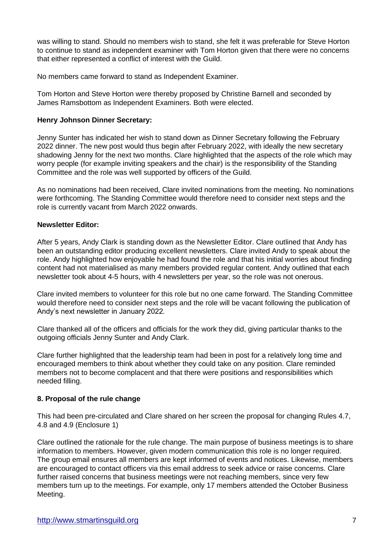was willing to stand. Should no members wish to stand, she felt it was preferable for Steve Horton to continue to stand as independent examiner with Tom Horton given that there were no concerns that either represented a conflict of interest with the Guild.

No members came forward to stand as Independent Examiner.

Tom Horton and Steve Horton were thereby proposed by Christine Barnell and seconded by James Ramsbottom as Independent Examiners. Both were elected.

### **Henry Johnson Dinner Secretary:**

Jenny Sunter has indicated her wish to stand down as Dinner Secretary following the February 2022 dinner. The new post would thus begin after February 2022, with ideally the new secretary shadowing Jenny for the next two months. Clare highlighted that the aspects of the role which may worry people (for example inviting speakers and the chair) is the responsibility of the Standing Committee and the role was well supported by officers of the Guild.

As no nominations had been received, Clare invited nominations from the meeting. No nominations were forthcoming. The Standing Committee would therefore need to consider next steps and the role is currently vacant from March 2022 onwards.

## **Newsletter Editor:**

After 5 years, Andy Clark is standing down as the Newsletter Editor. Clare outlined that Andy has been an outstanding editor producing excellent newsletters. Clare invited Andy to speak about the role. Andy highlighted how enjoyable he had found the role and that his initial worries about finding content had not materialised as many members provided regular content. Andy outlined that each newsletter took about 4-5 hours, with 4 newsletters per year, so the role was not onerous.

Clare invited members to volunteer for this role but no one came forward. The Standing Committee would therefore need to consider next steps and the role will be vacant following the publication of Andy's next newsletter in January 2022.

Clare thanked all of the officers and officials for the work they did, giving particular thanks to the outgoing officials Jenny Sunter and Andy Clark.

Clare further highlighted that the leadership team had been in post for a relatively long time and encouraged members to think about whether they could take on any position. Clare reminded members not to become complacent and that there were positions and responsibilities which needed filling.

### **8. Proposal of the rule change**

This had been pre-circulated and Clare shared on her screen the proposal for changing Rules 4.7, 4.8 and 4.9 (Enclosure 1)

Clare outlined the rationale for the rule change. The main purpose of business meetings is to share information to members. However, given modern communication this role is no longer required. The group email ensures all members are kept informed of events and notices. Likewise, members are encouraged to contact officers via this email address to seek advice or raise concerns. Clare further raised concerns that business meetings were not reaching members, since very few members turn up to the meetings. For example, only 17 members attended the October Business Meeting.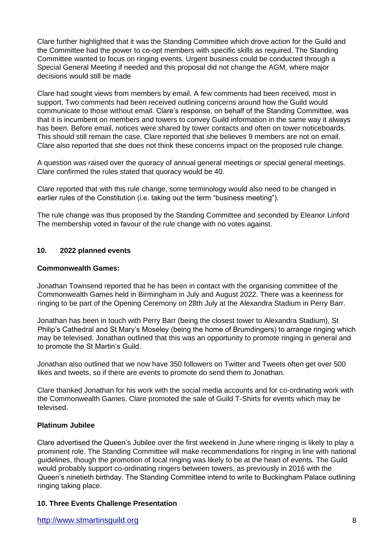Clare further highlighted that it was the Standing Committee which drove action for the Guild and the Committee had the power to co-opt members with specific skills as required. The Standing Committee wanted to focus on ringing events. Urgent business could be conducted through a Special General Meeting if needed and this proposal did not change the AGM, where major decisions would still be made

Clare had sought views from members by email. A few comments had been received, most in support. Two comments had been received outlining concerns around how the Guild would communicate to those without email. Clare's response, on behalf of the Standing Committee, was that it is incumbent on members and towers to convey Guild information in the same way it always has been. Before email, notices were shared by tower contacts and often on tower noticeboards. This should still remain the case. Clare reported that she believes 9 members are not on email. Clare also reported that she does not think these concerns impact on the proposed rule change.

A question was raised over the quoracy of annual general meetings or special general meetings. Clare confirmed the rules stated that quoracy would be 40.

Clare reported that with this rule change, some terminology would also need to be changed in earlier rules of the Constitution (i.e. taking out the term "business meeting").

The rule change was thus proposed by the Standing Committee and seconded by Eleanor Linford The membership voted in favour of the rule change with no votes against.

## **10. 2022 planned events**

### **Commonwealth Games:**

Jonathan Townsend reported that he has been in contact with the organising committee of the Commonwealth Games held in Birmingham in July and August 2022. There was a keenness for ringing to be part of the Opening Ceremony on 28th July at the Alexandra Stadium in Perry Barr.

Jonathan has been in touch with Perry Barr (being the closest tower to Alexandra Stadium), St Philip's Cathedral and St Mary's Moseley (being the home of Brumdingers) to arrange ringing which may be televised. Jonathan outlined that this was an opportunity to promote ringing in general and to promote the St Martin's Guild.

Jonathan also outlined that we now have 350 followers on Twitter and Tweets often get over 500 likes and tweets, so if there are events to promote do send them to Jonathan.

Clare thanked Jonathan for his work with the social media accounts and for co-ordinating work with the Commonwealth Games. Clare promoted the sale of Guild T-Shirts for events which may be televised.

## **Platinum Jubilee**

Clare advertised the Queen's Jubilee over the first weekend in June where ringing is likely to play a prominent role. The Standing Committee will make recommendations for ringing in line with national guidelines, though the promotion of local ringing was likely to be at the heart of events. The Guild would probably support co-ordinating ringers between towers, as previously in 2016 with the Queen's ninetieth birthday. The Standing Committee intend to write to Buckingham Palace outlining ringing taking place.

### **10. Three Events Challenge Presentation**

http://www.stmartinsguild.org 8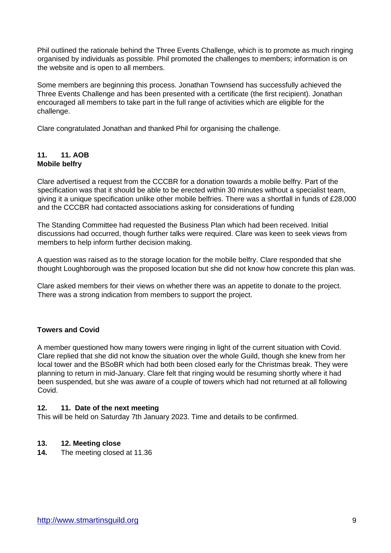Phil outlined the rationale behind the Three Events Challenge, which is to promote as much ringing organised by individuals as possible. Phil promoted the challenges to members; information is on the website and is open to all members.

Some members are beginning this process. Jonathan Townsend has successfully achieved the Three Events Challenge and has been presented with a certificate (the first recipient). Jonathan encouraged all members to take part in the full range of activities which are eligible for the challenge.

Clare congratulated Jonathan and thanked Phil for organising the challenge.

## **11. 11. AOB Mobile belfry**

Clare advertised a request from the CCCBR for a donation towards a mobile belfry. Part of the specification was that it should be able to be erected within 30 minutes without a specialist team, giving it a unique specification unlike other mobile belfries. There was a shortfall in funds of £28,000 and the CCCBR had contacted associations asking for considerations of funding

The Standing Committee had requested the Business Plan which had been received. Initial discussions had occurred, though further talks were required. Clare was keen to seek views from members to help inform further decision making.

A question was raised as to the storage location for the mobile belfry. Clare responded that she thought Loughborough was the proposed location but she did not know how concrete this plan was.

Clare asked members for their views on whether there was an appetite to donate to the project. There was a strong indication from members to support the project.

## **Towers and Covid**

A member questioned how many towers were ringing in light of the current situation with Covid. Clare replied that she did not know the situation over the whole Guild, though she knew from her local tower and the BSoBR which had both been closed early for the Christmas break. They were planning to return in mid-January. Clare felt that ringing would be resuming shortly where it had been suspended, but she was aware of a couple of towers which had not returned at all following Covid.

### **12. 11. Date of the next meeting**

This will be held on Saturday 7th January 2023. Time and details to be confirmed.

## **13. 12. Meeting close**

**14.** The meeting closed at 11.36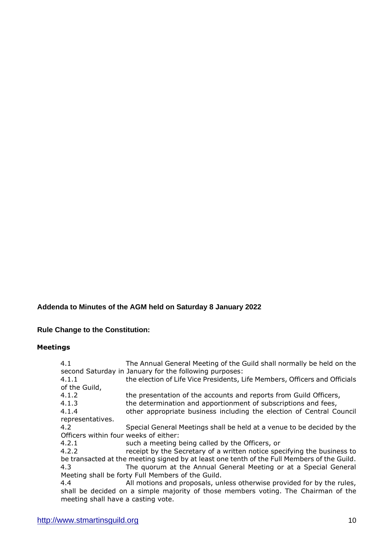# **Addenda to Minutes of the AGM held on Saturday 8 January 2022**

# **Rule Change to the Constitution:**

## **Meetings**

| 4.1                                   | The Annual General Meeting of the Guild shall normally be held on the                       |
|---------------------------------------|---------------------------------------------------------------------------------------------|
|                                       | second Saturday in January for the following purposes:                                      |
| 4.1.1                                 | the election of Life Vice Presidents, Life Members, Officers and Officials                  |
| of the Guild,                         |                                                                                             |
| 4.1.2                                 | the presentation of the accounts and reports from Guild Officers,                           |
| 4.1.3                                 | the determination and apportionment of subscriptions and fees,                              |
| 4.1.4                                 | other appropriate business including the election of Central Council                        |
| representatives.                      |                                                                                             |
| 4.2                                   | Special General Meetings shall be held at a venue to be decided by the                      |
| Officers within four weeks of either: |                                                                                             |
| 4.2.1                                 | such a meeting being called by the Officers, or                                             |
| 4.2.2                                 | receipt by the Secretary of a written notice specifying the business to                     |
|                                       | be transacted at the meeting signed by at least one tenth of the Full Members of the Guild. |
| 4.3                                   | The quorum at the Annual General Meeting or at a Special General                            |
|                                       | Meeting shall be forty Full Members of the Guild.                                           |
| 4.4                                   | All motions and proposals, unless otherwise provided for by the rules,                      |
|                                       | shall be decided on a simple majority of those members voting. The Chairman of the          |
| meeting shall have a casting vote.    |                                                                                             |
|                                       |                                                                                             |